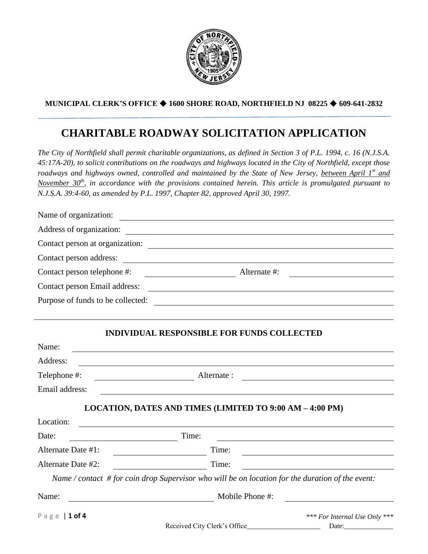

## **MUNICIPAL CLERK'S OFFICE 1600 SHORE ROAD, NORTHFIELD NJ 08225 609-641-2832**

# **CHARITABLE ROADWAY SOLICITATION APPLICATION**

*The City of Northfield shall permit charitable organizations, as defined in Section 3 of P.L. 1994, c. 16 (N.J.S.A. 45:17A-20), to solicit contributions on the roadways and highways located in the City of Northfield, except those roadways and highways owned, controlled and maintained by the State of New Jersey, between April 1st and November 30th, in accordance with the provisions contained herein. This article is promulgated pursuant to N.J.S.A. 39:4-60, as amended by P.L. 1997, Chapter 82, approved April 30, 1997.*

| Name of organization:                                                                                                    | <u> 1980 - Jan Samuel Barbara, margaret e</u>                                                                                                                                                                                 |                                        |
|--------------------------------------------------------------------------------------------------------------------------|-------------------------------------------------------------------------------------------------------------------------------------------------------------------------------------------------------------------------------|----------------------------------------|
| Address of organization:                                                                                                 | <u> 1989 - Johann Barn, mars eta bainar eta bainar eta baina eta baina eta baina eta baina eta baina eta baina e</u>                                                                                                          |                                        |
|                                                                                                                          | Contact person at organization:                                                                                                                                                                                               |                                        |
|                                                                                                                          |                                                                                                                                                                                                                               |                                        |
| Contact person telephone #:                                                                                              | Alternate #:                                                                                                                                                                                                                  |                                        |
| Contact person Email address:                                                                                            | <u> Alexandria de la contrada de la contrada de la contrada de la contrada de la contrada de la contrada de la c</u>                                                                                                          |                                        |
|                                                                                                                          | Purpose of funds to be collected:                                                                                                                                                                                             |                                        |
|                                                                                                                          |                                                                                                                                                                                                                               |                                        |
|                                                                                                                          | <b>INDIVIDUAL RESPONSIBLE FOR FUNDS COLLECTED</b>                                                                                                                                                                             |                                        |
| Name:                                                                                                                    | the control of the control of the control of the control of the control of the control of the control of the control of the control of the control of the control of the control of the control of the control of the control |                                        |
| Address:                                                                                                                 | <u> 1989 - Johann Stoff, deutscher Stoffen und der Stoffen und der Stoffen und der Stoffen und der Stoffen und der</u>                                                                                                        |                                        |
| Telephone #:                                                                                                             | Alternate:                                                                                                                                                                                                                    |                                        |
| Email address:                                                                                                           |                                                                                                                                                                                                                               |                                        |
|                                                                                                                          | LOCATION, DATES AND TIMES (LIMITED TO 9:00 AM - 4:00 PM)                                                                                                                                                                      |                                        |
| Location:                                                                                                                |                                                                                                                                                                                                                               |                                        |
| Date:<br>$\overline{\phantom{a}}$ and $\overline{\phantom{a}}$ and $\overline{\phantom{a}}$ and $\overline{\phantom{a}}$ | Time:                                                                                                                                                                                                                         |                                        |
| Alternate Date #1:                                                                                                       | Time:                                                                                                                                                                                                                         |                                        |
| Alternate Date #2:                                                                                                       | Time:                                                                                                                                                                                                                         |                                        |
|                                                                                                                          | Name / contact $#$ for coin drop Supervisor who will be on location for the duration of the event:                                                                                                                            |                                        |
| Name:                                                                                                                    | Mobile Phone #:                                                                                                                                                                                                               |                                        |
| Page   1 of 4                                                                                                            | Received City Clerk's Office                                                                                                                                                                                                  | *** For Internal Use Only ***<br>Date: |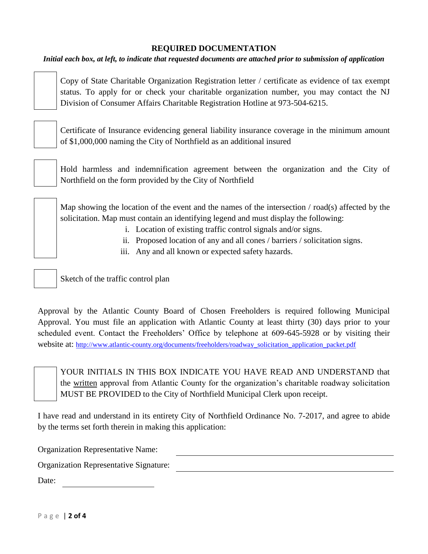## **REQUIRED DOCUMENTATION**

*Initial each box, at left, to indicate that requested documents are attached prior to submission of application*

Copy of State Charitable Organization Registration letter / certificate as evidence of tax exempt status. To apply for or check your charitable organization number, you may contact the NJ Division of Consumer Affairs Charitable Registration Hotline at 973-504-6215.

Certificate of Insurance evidencing general liability insurance coverage in the minimum amount of \$1,000,000 naming the City of Northfield as an additional insured



Map showing the location of the event and the names of the intersection / road(s) affected by the solicitation. Map must contain an identifying legend and must display the following:

- i. Location of existing traffic control signals and/or signs.
- ii. Proposed location of any and all cones / barriers / solicitation signs.
- iii. Any and all known or expected safety hazards.

Sketch of the traffic control plan

Approval by the Atlantic County Board of Chosen Freeholders is required following Municipal Approval. You must file an application with Atlantic County at least thirty (30) days prior to your scheduled event. Contact the Freeholders' Office by telephone at 609-645-5928 or by visiting their website at: [http://www.atlantic-county.org/documents/freeholders/roadway\\_solicitation\\_application\\_packet.pdf](http://www.atlantic-county.org/documents/freeholders/roadway_solicitation_application_packet.pdf)

YOUR INITIALS IN THIS BOX INDICATE YOU HAVE READ AND UNDERSTAND that the written approval from Atlantic County for the organization's charitable roadway solicitation MUST BE PROVIDED to the City of Northfield Municipal Clerk upon receipt.

I have read and understand in its entirety City of Northfield Ordinance No. 7-2017, and agree to abide by the terms set forth therein in making this application:

Organization Representative Name:

Organization Representative Signature:

Date: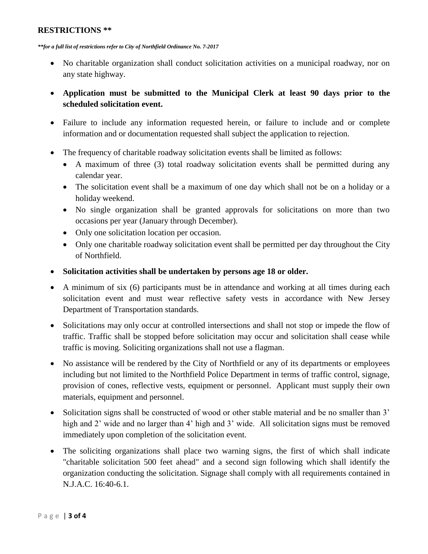### **RESTRICTIONS \*\***

*\*\*for a full list of restrictions refer to City of Northfield Ordinance No. 7-2017*

- No charitable organization shall conduct solicitation activities on a municipal roadway, nor on any state highway.
- **Application must be submitted to the Municipal Clerk at least 90 days prior to the scheduled solicitation event.**
- Failure to include any information requested herein, or failure to include and or complete information and or documentation requested shall subject the application to rejection.
- The frequency of charitable roadway solicitation events shall be limited as follows:
	- A maximum of three (3) total roadway solicitation events shall be permitted during any calendar year.
	- The solicitation event shall be a maximum of one day which shall not be on a holiday or a holiday weekend.
	- No single organization shall be granted approvals for solicitations on more than two occasions per year (January through December).
	- Only one solicitation location per occasion.
	- Only one charitable roadway solicitation event shall be permitted per day throughout the City of Northfield.
- **Solicitation activities shall be undertaken by persons age 18 or older.**
- A minimum of six (6) participants must be in attendance and working at all times during each solicitation event and must wear reflective safety vests in accordance with New Jersey Department of Transportation standards.
- Solicitations may only occur at controlled intersections and shall not stop or impede the flow of traffic. Traffic shall be stopped before solicitation may occur and solicitation shall cease while traffic is moving. Soliciting organizations shall not use a flagman.
- No assistance will be rendered by the City of Northfield or any of its departments or employees including but not limited to the Northfield Police Department in terms of traffic control, signage, provision of cones, reflective vests, equipment or personnel. Applicant must supply their own materials, equipment and personnel.
- Solicitation signs shall be constructed of wood or other stable material and be no smaller than 3' high and 2' wide and no larger than 4' high and 3' wide. All solicitation signs must be removed immediately upon completion of the solicitation event.
- The soliciting organizations shall place two warning signs, the first of which shall indicate "charitable solicitation 500 feet ahead" and a second sign following which shall identify the organization conducting the solicitation. Signage shall comply with all requirements contained in N.J.A.C. 16:40-6.1.